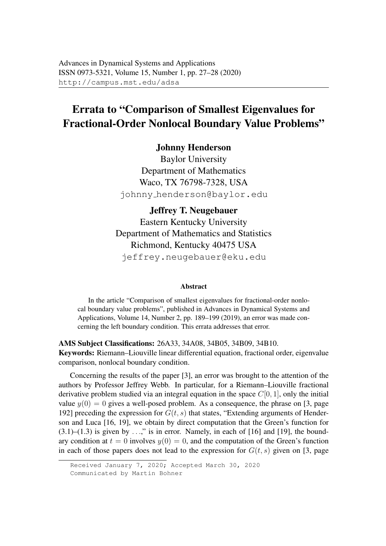## Errata to "Comparison of Smallest Eigenvalues for Fractional-Order Nonlocal Boundary Value Problems"

Johnny Henderson

Baylor University Department of Mathematics Waco, TX 76798-7328, USA johnny henderson@baylor.edu

Jeffrey T. Neugebauer Eastern Kentucky University Department of Mathematics and Statistics Richmond, Kentucky 40475 USA jeffrey.neugebauer@eku.edu

## Abstract

In the article "Comparison of smallest eigenvalues for fractional-order nonlocal boundary value problems", published in Advances in Dynamical Systems and Applications, Volume 14, Number 2, pp. 189–199 (2019), an error was made concerning the left boundary condition. This errata addresses that error.

AMS Subject Classifications: 26A33, 34A08, 34B05, 34B09, 34B10. Keywords: Riemann–Liouville linear differential equation, fractional order, eigenvalue comparison, nonlocal boundary condition.

Concerning the results of the paper [3], an error was brought to the attention of the authors by Professor Jeffrey Webb. In particular, for a Riemann–Liouville fractional derivative problem studied via an integral equation in the space  $C[0, 1]$ , only the initial value  $y(0) = 0$  gives a well-posed problem. As a consequence, the phrase on [3, page 192] preceding the expression for  $G(t, s)$  that states, "Extending arguments of Henderson and Luca [16, 19], we obtain by direct computation that the Green's function for  $(3.1)$ – $(1.3)$  is given by ...," is in error. Namely, in each of [16] and [19], the boundary condition at  $t = 0$  involves  $y(0) = 0$ , and the computation of the Green's function in each of those papers does not lead to the expression for  $G(t, s)$  given on [3, page

Received January 7, 2020; Accepted March 30, 2020 Communicated by Martin Bohner